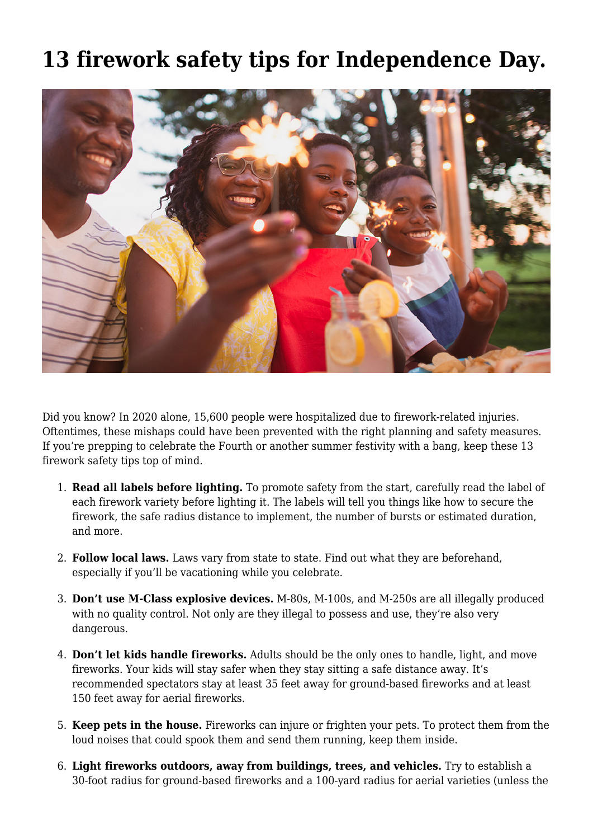## **[13 firework safety tips for Independence Day.](https://www.fmins.com/blog/independence-day-depend-fireworks-safety-tips/)**



Did you know? In 2020 alone, 15,600 people were hospitalized due to [firework-related injuries](https://www.cpsc.gov/Newsroom/News-Releases/2021/Fireworks-Related-Injuries-and-Deaths-Spiked-During-the-COVID-19-Pandemic). Oftentimes, these mishaps could have been prevented with the right planning and safety measures. If you're prepping to celebrate the Fourth or another summer festivity with a bang, keep these 13 firework safety tips top of mind.

- 1. **Read all labels before lighting.** To promote safety from the start, carefully read the label of each firework variety before lighting it. The labels will tell you things like how to secure the firework, the safe radius distance to implement, the number of bursts or estimated duration, and more.
- 2. **Follow local laws.** Laws vary from state to state. Find out what they are beforehand, especially if you'll be vacationing while you celebrate.
- 3. **Don't use M-Class explosive devices.** M-80s, M-100s, and M-250s are all illegally produced with no quality control. Not only are they illegal to possess and use, they're also very dangerous.
- 4. **Don't let kids handle fireworks.** Adults should be the only ones to handle, light, and move fireworks. Your kids will stay safer when they stay sitting a safe distance away. It's recommended spectators stay at least 35 feet away for ground-based fireworks and at least 150 feet away for aerial fireworks.
- 5. **Keep pets in the house.** Fireworks can injure or frighten your pets. To protect them from the loud noises that could spook them and send them running, keep them inside.
- 6. **Light fireworks outdoors, away from buildings, trees, and vehicles.** Try to establish a 30-foot radius for ground-based fireworks and a 100-yard radius for aerial varieties (unless the